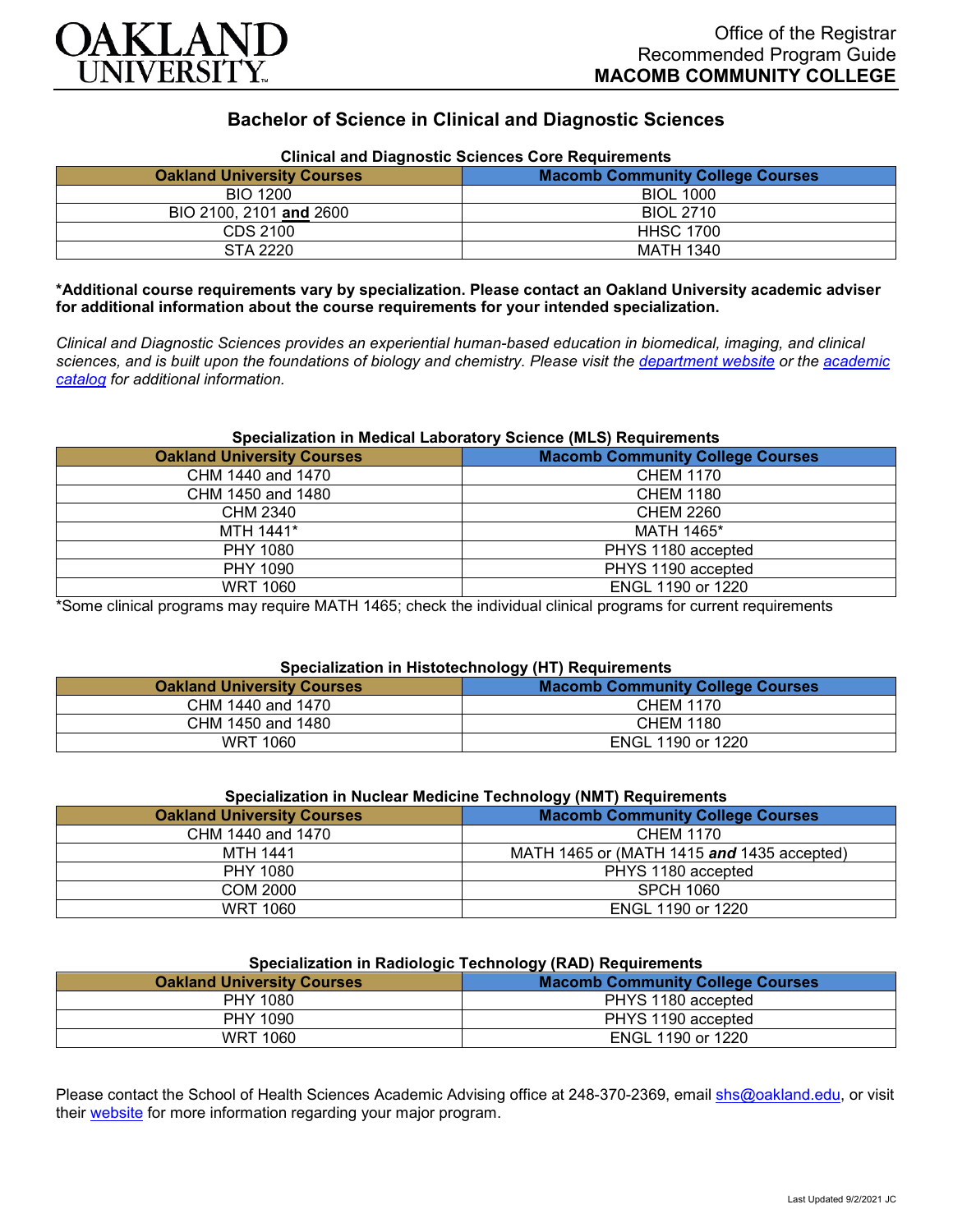

# **Bachelor of Science in Clinical and Diagnostic Sciences**

| <b>Oakland University Courses</b> | Clinical and Diagnostic Sciences Core Requirements<br><b>Macomb Community College Courses</b> |
|-----------------------------------|-----------------------------------------------------------------------------------------------|
| <b>BIO 1200</b>                   | <b>BIOL 1000</b>                                                                              |
| BIO 2100, 2101 and 2600           | <b>BIOL 2710</b>                                                                              |
| CDS 2100                          | <b>HHSC 1700</b>                                                                              |
| STA 2220                          | MATH 1340                                                                                     |

**Clinical and Diagnostic Sciences Core Requirements**

#### **\*Additional course requirements vary by specialization. Please contact an Oakland University academic adviser for additional information about the course requirements for your intended specialization.**

*Clinical and Diagnostic Sciences provides an experiential human-based education in biomedical, imaging, and clinical sciences, and is built upon the foundations of biology and chemistry. Please visit the [department website](https://www.oakland.edu/shs/clinical-and-diagnostic-sciences/) or the [academic](http://catalog.oakland.edu/preview_program.php?catoid=53&poid=8663)  [catalog](http://catalog.oakland.edu/preview_program.php?catoid=53&poid=8663) for additional information.*

### **Specialization in Medical Laboratory Science (MLS) Requirements**

| <b>Oakland University Courses</b> | <b>Macomb Community College Courses</b> |
|-----------------------------------|-----------------------------------------|
| CHM 1440 and 1470                 | <b>CHEM 1170</b>                        |
| CHM 1450 and 1480                 | <b>CHEM 1180</b>                        |
| CHM 2340                          | <b>CHEM 2260</b>                        |
| MTH 1441*                         | MATH 1465*                              |
| PHY 1080                          | PHYS 1180 accepted                      |
| PHY 1090                          | PHYS 1190 accepted                      |
| <b>WRT 1060</b>                   | ENGL 1190 or 1220                       |

\*Some clinical programs may require MATH 1465; check the individual clinical programs for current requirements

# **Specialization in Histotechnology (HT) Requirements**

| <b>Oakland University Courses</b> | <b>Macomb Community College Courses</b> |
|-----------------------------------|-----------------------------------------|
| CHM 1440 and 1470                 | <b>CHEM 1170</b>                        |
| CHM 1450 and 1480                 | <b>CHEM 1180</b>                        |
| WRT 1060                          | ENGL 1190 or 1220                       |

| Specialization in Nuclear Medicine Technology (NMT) Requirements |                                            |
|------------------------------------------------------------------|--------------------------------------------|
| <b>Oakland University Courses</b>                                | <b>Macomb Community College Courses</b>    |
| CHM 1440 and 1470                                                | <b>CHEM 1170</b>                           |
| MTH 1441                                                         | MATH 1465 or (MATH 1415 and 1435 accepted) |
| PHY 1080                                                         | PHYS 1180 accepted                         |
| COM 2000                                                         | <b>SPCH 1060</b>                           |
| <b>WRT 1060</b>                                                  | ENGL 1190 or 1220                          |

# **Specialization in Nuclear Medicine Technology (NMT) Requirements**

## **Specialization in Radiologic Technology (RAD) Requirements**

| <b>Oakland University Courses</b> | <b>Macomb Community College Courses</b> |
|-----------------------------------|-----------------------------------------|
| PHY 1080                          | PHYS 1180 accepted                      |
| PHY 1090                          | PHYS 1190 accepted                      |
| <b>WRT 1060</b>                   | ENGL 1190 or 1220                       |

Please contact the School of Health Sciences Academic Advising office at 248-370-2369, email [shs@oakland.edu,](mailto:shs@oakland.edu) or visit their [website](http://www.oakland.edu/shs/advising) for more information regarding your major program.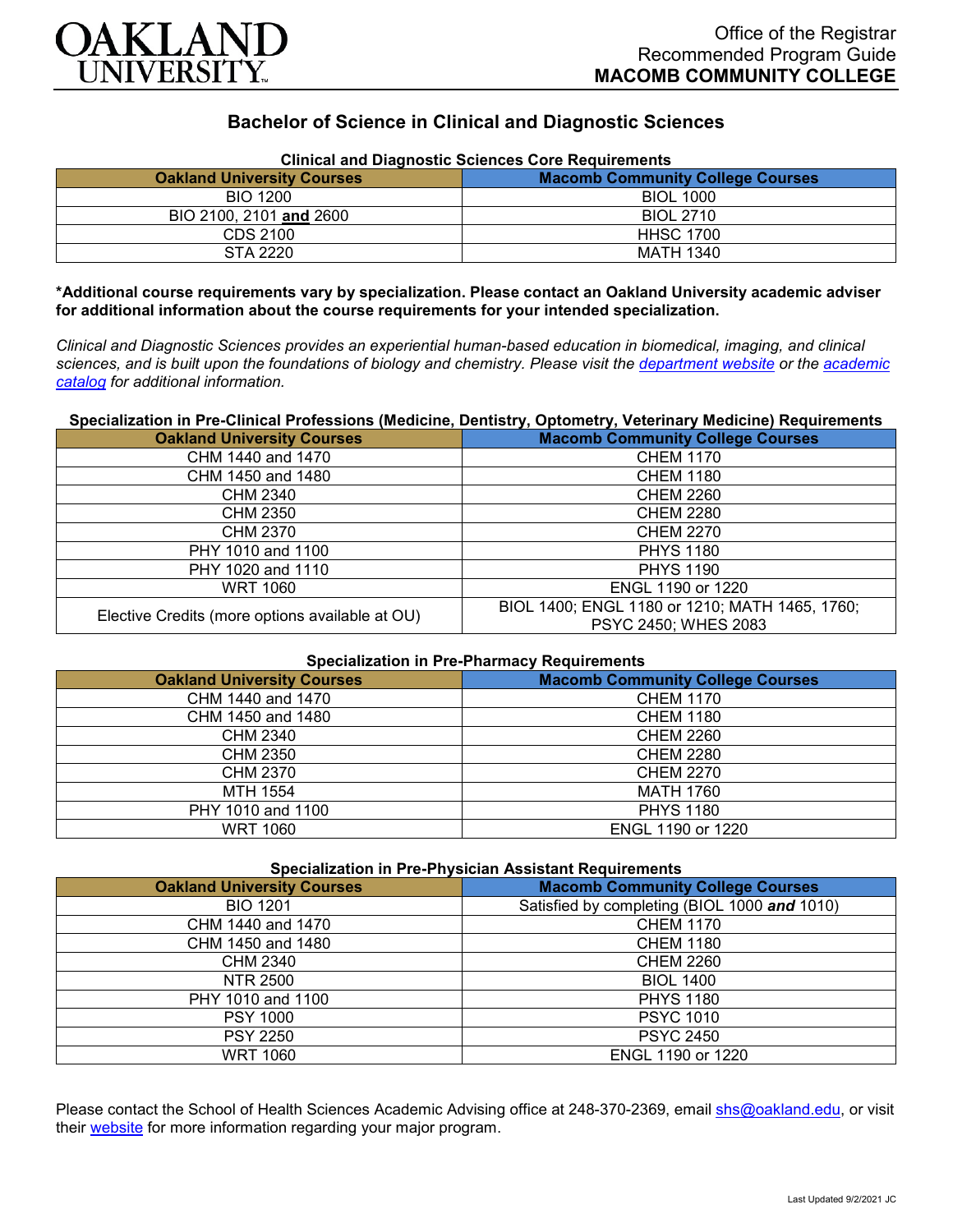

# **Bachelor of Science in Clinical and Diagnostic Sciences**

| <b>Oakland University Courses</b> | Clinical and Diagnostic Sciences Core Requirements<br><b>Macomb Community College Courses</b> |
|-----------------------------------|-----------------------------------------------------------------------------------------------|
| <b>BIO 1200</b>                   | <b>BIOL 1000</b>                                                                              |
| BIO 2100, 2101 and 2600           | <b>BIOL 2710</b>                                                                              |
| CDS 2100                          | <b>HHSC 1700</b>                                                                              |
| STA 2220                          | MATH 1340                                                                                     |

**Clinical and Diagnostic Sciences Core Requirements**

**\*Additional course requirements vary by specialization. Please contact an Oakland University academic adviser for additional information about the course requirements for your intended specialization.**

*Clinical and Diagnostic Sciences provides an experiential human-based education in biomedical, imaging, and clinical sciences, and is built upon the foundations of biology and chemistry. Please visit the [department website](https://www.oakland.edu/shs/clinical-and-diagnostic-sciences/) or the [academic](http://catalog.oakland.edu/preview_program.php?catoid=53&poid=8663)  [catalog](http://catalog.oakland.edu/preview_program.php?catoid=53&poid=8663) for additional information.*

# **Specialization in Pre-Clinical Professions (Medicine, Dentistry, Optometry, Veterinary Medicine) Requirements**

| <b>Oakland University Courses</b>               | <b>Macomb Community College Courses</b>                                |
|-------------------------------------------------|------------------------------------------------------------------------|
| CHM 1440 and 1470                               | <b>CHEM 1170</b>                                                       |
| CHM 1450 and 1480                               | <b>CHEM 1180</b>                                                       |
| <b>CHM 2340</b>                                 | <b>CHEM 2260</b>                                                       |
| CHM 2350                                        | <b>CHEM 2280</b>                                                       |
| CHM 2370                                        | <b>CHEM 2270</b>                                                       |
| PHY 1010 and 1100                               | <b>PHYS 1180</b>                                                       |
| PHY 1020 and 1110                               | <b>PHYS 1190</b>                                                       |
| WRT 1060                                        | ENGL 1190 or 1220                                                      |
| Elective Credits (more options available at OU) | BIOL 1400; ENGL 1180 or 1210; MATH 1465, 1760;<br>PSYC 2450; WHES 2083 |

#### **Specialization in Pre-Pharmacy Requirements**

| <b>Oakland University Courses</b> | <b>Macomb Community College Courses</b> |
|-----------------------------------|-----------------------------------------|
| CHM 1440 and 1470                 | <b>CHEM 1170</b>                        |
| CHM 1450 and 1480                 | <b>CHEM 1180</b>                        |
| CHM 2340                          | <b>CHEM 2260</b>                        |
| <b>CHM 2350</b>                   | <b>CHEM 2280</b>                        |
| <b>CHM 2370</b>                   | <b>CHEM 2270</b>                        |
| MTH 1554                          | <b>MATH 1760</b>                        |
| PHY 1010 and 1100                 | <b>PHYS 1180</b>                        |
| <b>WRT 1060</b>                   | ENGL 1190 or 1220                       |

#### **Specialization in Pre-Physician Assistant Requirements**

| <b>Oakland University Courses</b> | <b>Macomb Community College Courses</b>      |
|-----------------------------------|----------------------------------------------|
| <b>BIO 1201</b>                   | Satisfied by completing (BIOL 1000 and 1010) |
| CHM 1440 and 1470                 | <b>CHEM 1170</b>                             |
| CHM 1450 and 1480                 | <b>CHEM 1180</b>                             |
| <b>CHM 2340</b>                   | <b>CHEM 2260</b>                             |
| NTR 2500                          | <b>BIOL 1400</b>                             |
| PHY 1010 and 1100                 | <b>PHYS 1180</b>                             |
| <b>PSY 1000</b>                   | <b>PSYC 1010</b>                             |
| <b>PSY 2250</b>                   | <b>PSYC 2450</b>                             |
| <b>WRT 1060</b>                   | ENGL 1190 or 1220                            |

Please contact the School of Health Sciences Academic Advising office at 248-370-2369, email [shs@oakland.edu,](mailto:shs@oakland.edu) or visit their [website](http://www.oakland.edu/shs/advising) for more information regarding your major program.